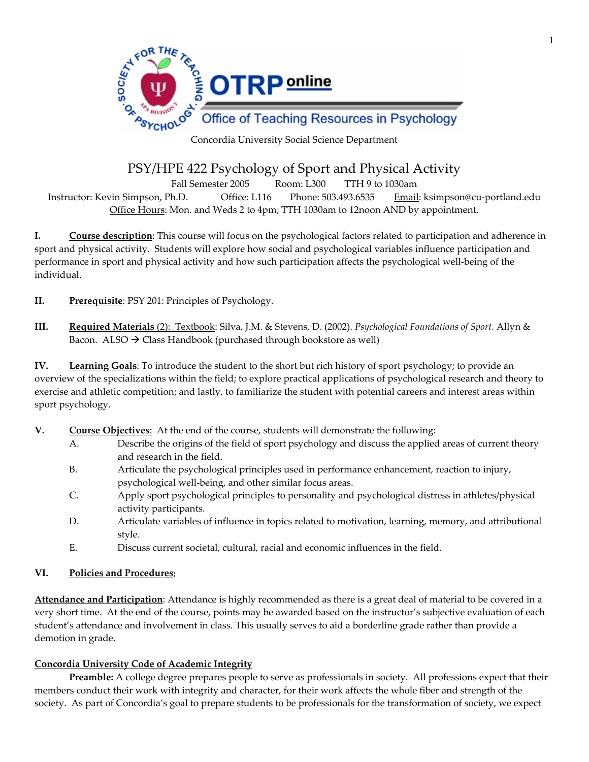

Concordia University Social Science Department

# PSY/HPE 422 Psychology of Sport and Physical Activity

Fall Semester 2005 Room: L300 TTH 9 to 1030am

Instructor: Kevin Simpson, Ph.D. Office: L116 Phone: 503.493.6535 Email: ksimpson@cu‐portland.edu Office Hours: Mon. and Weds 2 to 4pm; TTH 1030am to 12noon AND by appointment.

**I. Course description**: This course will focus on the psychological factors related to participation and adherence in sport and physical activity. Students will explore how social and psychological variables influence participation and performance in sport and physical activity and how such participation affects the psychological well‐being of the individual.

**II. Prerequisite**: PSY 201: Principles of Psychology.

**III. Required Materials** (2): Textbook: Silva, J.M. & Stevens, D. (2002). *Psychological Foundations of Sport.* Allyn & Bacon.  $ALSO \rightarrow Class$  Handbook (purchased through bookstore as well)

**IV. Learning Goals**: To introduce the student to the short but rich history of sport psychology; to provide an overview of the specializations within the field; to explore practical applications of psychological research and theory to exercise and athletic competition; and lastly, to familiarize the student with potential careers and interest areas within sport psychology.

- **V. Course Objectives**: At the end of the course, students will demonstrate the following:
	- A. Describe the origins of the field of sport psychology and discuss the applied areas of current theory and research in the field.
	- B. Articulate the psychological principles used in performance enhancement, reaction to injury, psychological well‐being, and other similar focus areas.
	- C. Apply sport psychological principles to personality and psychological distress in athletes/physical activity participants.
	- D. Articulate variables of influence in topics related to motivation, learning, memory, and attributional style.
	- E. Discuss current societal, cultural, racial and economic influences in the field.

#### **VI. Policies and Procedures:**

**Attendance and Participation**: Attendance is highly recommended as there is a great deal of material to be covered in a very short time. At the end of the course, points may be awarded based on the instructor's subjective evaluation of each student's attendance and involvement in class. This usually serves to aid a borderline grade rather than provide a demotion in grade.

#### **Concordia University Code of Academic Integrity**

**Preamble:** A college degree prepares people to serve as professionals in society. All professions expect that their members conduct their work with integrity and character, for their work affects the whole fiber and strength of the society. As part of Concordia's goal to prepare students to be professionals for the transformation of society, we expect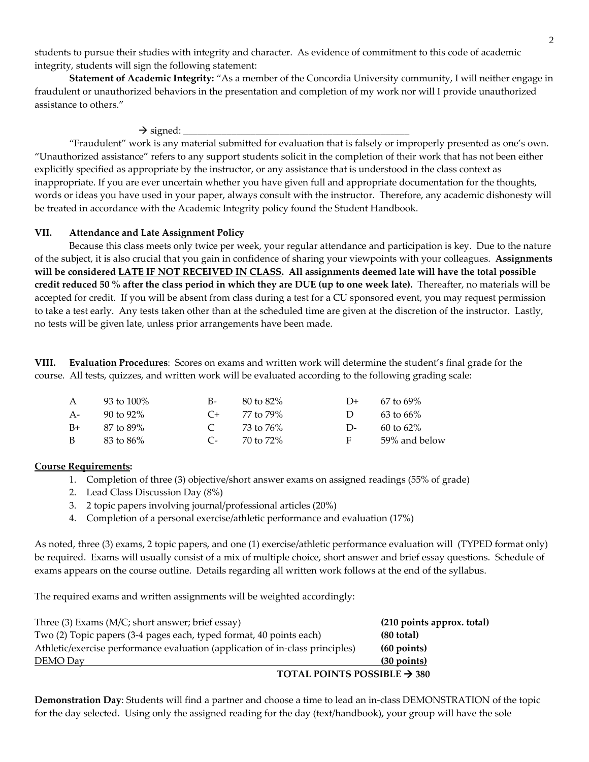students to pursue their studies with integrity and character. As evidence of commitment to this code of academic integrity, students will sign the following statement:

**Statement of Academic Integrity:** "As a member of the Concordia University community, I will neither engage in fraudulent or unauthorized behaviors in the presentation and completion of my work nor will I provide unauthorized assistance to others."

 $\rightarrow$  signed:

"Fraudulent" work is any material submitted for evaluation that is falsely or improperly presented as one's own. "Unauthorized assistance" refers to any support students solicit in the completion of their work that has not been either explicitly specified as appropriate by the instructor, or any assistance that is understood in the class context as inappropriate. If you are ever uncertain whether you have given full and appropriate documentation for the thoughts, words or ideas you have used in your paper, always consult with the instructor. Therefore, any academic dishonesty will be treated in accordance with the Academic Integrity policy found the Student Handbook.

#### **VII. Attendance and Late Assignment Policy**

Because this class meets only twice per week, your regular attendance and participation is key. Due to the nature of the subject, it is also crucial that you gain in confidence of sharing your viewpoints with your colleagues. **Assignments** will be considered LATE IF NOT RECEIVED IN CLASS. All assignments deemed late will have the total possible credit reduced 50 % after the class period in which they are DUE (up to one week late). Thereafter, no materials will be accepted for credit. If you will be absent from class during a test for a CU sponsored event, you may request permission to take a test early. Any tests taken other than at the scheduled time are given at the discretion of the instructor. Lastly, no tests will be given late, unless prior arrangements have been made.

**VIII. Evaluation Procedures**: Scores on exams and written work will determine the student's final grade for the course. All tests, quizzes, and written work will be evaluated according to the following grading scale:

| $\mathsf{A}$ | 93 to 100% | $B-$           | 80 to 82%           | $1)+$  | $67$ to $69\%$        |
|--------------|------------|----------------|---------------------|--------|-----------------------|
| $A-$         | 90 to 92%  |                | $C_{\pm}$ 77 to 79% | $\Box$ | 63 to 66%             |
| $B+$         | 87 to 89%  | $\overline{C}$ | 73 to 76%           | $\Box$ | $60 \text{ to } 62\%$ |
| B            | 83 to 86%  | $C_{\tau}$     | 70 to 72%           | F.     | 59% and below         |

#### **Course Requirements:**

- 1. Completion of three (3) objective/short answer exams on assigned readings (55% of grade)
- 2. Lead Class Discussion Day (8%)
- 3. 2 topic papers involving journal/professional articles (20%)
- 4. Completion of a personal exercise/athletic performance and evaluation (17%)

As noted, three (3) exams, 2 topic papers, and one (1) exercise/athletic performance evaluation will (TYPED format only) be required. Exams will usually consist of a mix of multiple choice, short answer and brief essay questions. Schedule of exams appears on the course outline. Details regarding all written work follows at the end of the syllabus.

The required exams and written assignments will be weighted accordingly:

| Three (3) Exams (M/C; short answer; brief essay)                              | (210 points approx. total)              |  |
|-------------------------------------------------------------------------------|-----------------------------------------|--|
| Two (2) Topic papers (3-4 pages each, typed format, 40 points each)           | $(80$ total)                            |  |
| Athletic/exercise performance evaluation (application of in-class principles) | $(60 \text{ points})$                   |  |
| DEMO Day                                                                      | $(30$ points)                           |  |
|                                                                               | TOTAL POINTS POSSIBLE $\rightarrow$ 380 |  |

**Demonstration Day**: Students will find a partner and choose a time to lead an in‐class DEMONSTRATION of the topic for the day selected. Using only the assigned reading for the day (text/handbook), your group will have the sole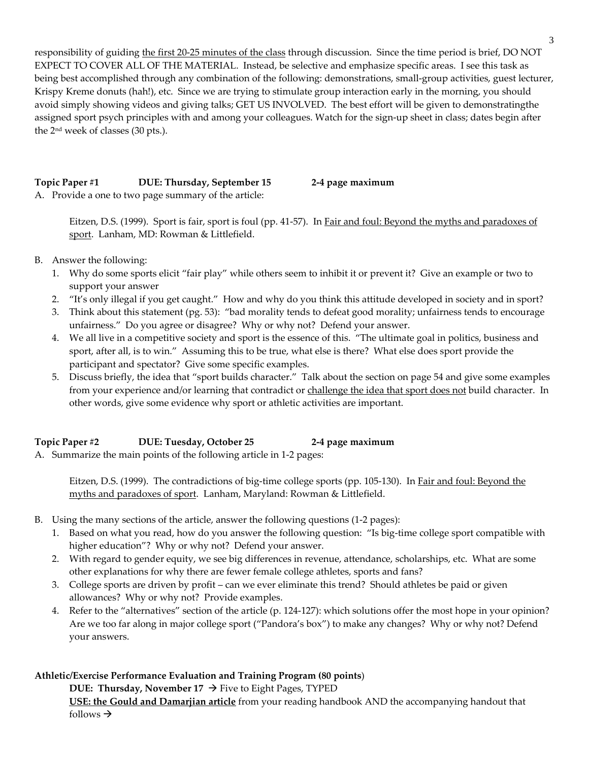responsibility of guiding the first 20‐25 minutes of the class through discussion. Since the time period is brief, DO NOT EXPECT TO COVER ALL OF THE MATERIAL. Instead, be selective and emphasize specific areas. I see this task as being best accomplished through any combination of the following: demonstrations, small-group activities, guest lecturer, Krispy Kreme donuts (hah!), etc. Since we are trying to stimulate group interaction early in the morning, you should avoid simply showing videos and giving talks; GET US INVOLVED. The best effort will be given to demonstratingthe assigned sport psych principles with and among your colleagues. Watch for the sign-up sheet in class; dates begin after the 2nd week of classes (30 pts.).

# **Topic Paper #1 DUE: Thursday, September 15 2‐4 page maximum**

A. Provide a one to two page summary of the article:

Eitzen, D.S. (1999). Sport is fair, sport is foul (pp. 41-57). In Fair and foul: Beyond the myths and paradoxes of sport. Lanham, MD: Rowman & Littlefield.

- B. Answer the following:
	- 1. Why do some sports elicit "fair play" while others seem to inhibit it or prevent it? Give an example or two to support your answer
	- 2. "It's only illegal if you get caught." How and why do you think this attitude developed in society and in sport?
	- 3. Think about this statement (pg. 53): "bad morality tends to defeat good morality; unfairness tends to encourage unfairness." Do you agree or disagree? Why or why not? Defend your answer.
	- 4. We all live in a competitive society and sport is the essence of this. "The ultimate goal in politics, business and sport, after all, is to win." Assuming this to be true, what else is there? What else does sport provide the participant and spectator? Give some specific examples.
	- 5. Discuss briefly, the idea that "sport builds character." Talk about the section on page 54 and give some examples from your experience and/or learning that contradict or challenge the idea that sport does not build character. In other words, give some evidence why sport or athletic activities are important.

# **Topic Paper #2 DUE: Tuesday, October 25 2‐4 page maximum**

A. Summarize the main points of the following article in 1‐2 pages:

Eitzen, D.S. (1999). The contradictions of big-time college sports (pp. 105-130). In *Fair and foul: Beyond the* myths and paradoxes of sport. Lanham, Maryland: Rowman & Littlefield.

- B. Using the many sections of the article, answer the following questions (1‐2 pages):
	- 1. Based on what you read, how do you answer the following question: "Is big-time college sport compatible with higher education"? Why or why not? Defend your answer.
	- 2. With regard to gender equity, we see big differences in revenue, attendance, scholarships, etc. What are some other explanations for why there are fewer female college athletes, sports and fans?
	- 3. College sports are driven by profit can we ever eliminate this trend? Should athletes be paid or given allowances? Why or why not? Provide examples.
	- 4. Refer to the "alternatives" section of the article (p. 124‐127): which solutions offer the most hope in your opinion? Are we too far along in major college sport ("Pandora's box") to make any changes? Why or why not? Defend your answers.

# **Athletic/Exercise Performance Evaluation and Training Program (80 points**)

**DUE: Thursday, November**  $17 \rightarrow$  **Five to Eight Pages, TYPED** 

**USE: the Gould and Damarjian article** from your reading handbook AND the accompanying handout that follows  $\rightarrow$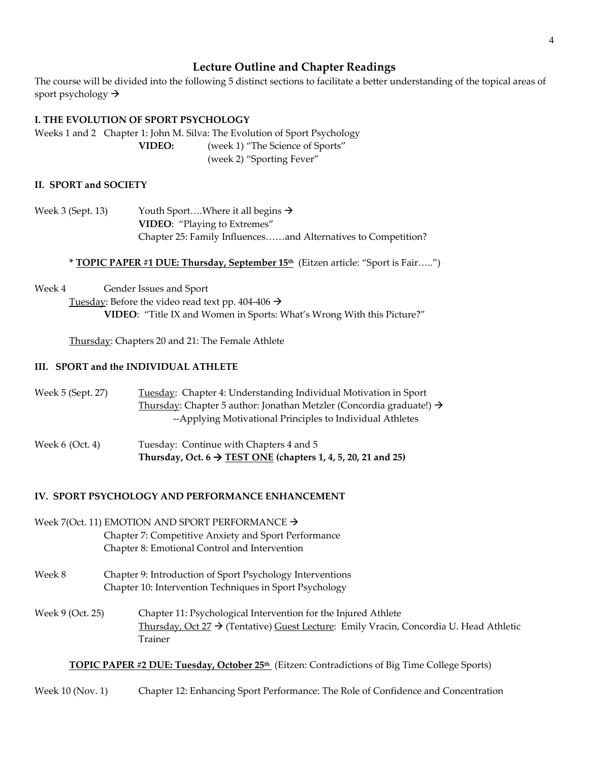# **Lecture Outline and Chapter Readings**

The course will be divided into the following 5 distinct sections to facilitate a better understanding of the topical areas of sport psychology  $\rightarrow$ 

## **I. THE EVOLUTION OF SPORT PSYCHOLOGY**

Weeks 1 and 2 Chapter 1: John M. Silva: The Evolution of Sport Psychology **VIDEO:** (week 1) "The Science of Sports" (week 2) "Sporting Fever"

### **II. SPORT and SOCIETY**

Week 3 (Sept. 13) Youth Sport....Where it all begins  $\rightarrow$ **VIDEO**: "Playing to Extremes" Chapter 25: Family Influences……and Alternatives to Competition?

#### **\* TOPIC PAPER #1 DUE: Thursday, September 15th** (Eitzen article: "Sport is Fair…..")

Week 4 **Gender Issues and Sport** 

Tuesday: Before the video read text pp. 404-406  $\rightarrow$ **VIDEO**: "Title IX and Women in Sports: What's Wrong With this Picture?"

Thursday: Chapters 20 and 21: The Female Athlete

### **III. SPORT and the INDIVIDUAL ATHLETE**

Week 5 (Sept. 27) Tuesday: Chapter 4: Understanding Individual Motivation in Sport Thursday: Chapter 5 author: Jonathan Metzler (Concordia graduate!)  $\rightarrow$ ‐‐Applying Motivational Principles to Individual Athletes

Week 6 (Oct. 4) Tuesday: Continue with Chapters 4 and 5 **Thursday, Oct.**  $6 \rightarrow \text{TEST ONE}$  (chapters 1, 4, 5, 20, 21 and 25)

## **IV. SPORT PSYCHOLOGY AND PERFORMANCE ENHANCEMENT**

Week 7(Oct. 11) EMOTION AND SPORT PERFORMANCE  $\rightarrow$ Chapter 7: Competitive Anxiety and Sport Performance Chapter 8: Emotional Control and Intervention

- Week 8 Chapter 9: Introduction of Sport Psychology Interventions Chapter 10: Intervention Techniques in Sport Psychology
- Week 9 (Oct. 25) Chapter 11: Psychological Intervention for the Injured Athlete Thursday, Oct  $27 \rightarrow$  (Tentative) Guest Lecture: Emily Vracin, Concordia U. Head Athletic Trainer

#### **TOPIC PAPER #2 DUE: Tuesday, October 25th** (Eitzen: Contradictions of Big Time College Sports)

Week 10 (Nov. 1) Chapter 12: Enhancing Sport Performance: The Role of Confidence and Concentration